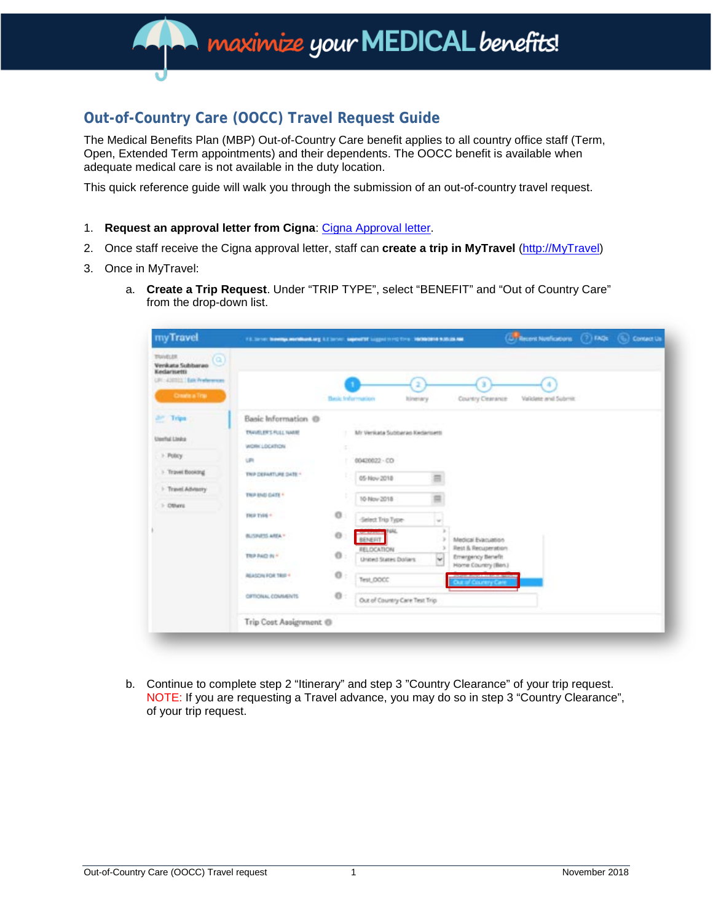## **maximize your MEDICAL benefits!**

### **Out-of-Country Care (OOCC) Travel Request Guide**

The Medical Benefits Plan (MBP) Out-of-Country Care benefit applies to all country office staff (Term, Open, Extended Term appointments) and their dependents. The OOCC benefit is available when adequate medical care is not available in the duty location.

This quick reference guide will walk you through the submission of an out-of-country travel request.

- 1. **Request an approval letter from Cigna**: Cigna [Approval letter.](http://pubdocs.worldbank.org/en/353531496838033852/OOCC-form.pdf)
- 2. Once staff receive the Cigna approval letter, staff can **create a trip in MyTravel** [\(http://MyTravel\)](http://mytravel/)
- 3. Once in MyTravel:
	- a. **Create a Trip Request**. Under "TRIP TYPE", select "BENEFIT" and "Out of Country Care" from the drop-down list.

| myTravel                                                                                                     | (D) Record Notifications (7) FAQs (%)<br>FELSIVE SHARIN HANDWAY EXISTIN' MONTH LIQUITY'S THE MONSHIP ROLLER                                                                                                                                            |                                                                |                                                                                                                                                                                                   |                              |                                                                                       |                     | Contact Us |
|--------------------------------------------------------------------------------------------------------------|--------------------------------------------------------------------------------------------------------------------------------------------------------------------------------------------------------------------------------------------------------|----------------------------------------------------------------|---------------------------------------------------------------------------------------------------------------------------------------------------------------------------------------------------|------------------------------|---------------------------------------------------------------------------------------|---------------------|------------|
| TRAVELER<br>$\alpha$<br>Verikata Subbarao<br>Kedariuetti<br>URI 450021 Eak Preferences<br>Create a Trai      |                                                                                                                                                                                                                                                        | <b>Basic Information</b>                                       | <b>Itinerary</b>                                                                                                                                                                                  |                              | Country Cearance                                                                      | Validate and Submit |            |
| <b>Art Trips</b><br><b>Useful Links</b><br>> Policy<br>1- Travel Booking<br>1 Travel Advisory<br>$>$ Others: | Basic Information @<br>TRAVELER'S PULL NAME<br>WORK LOCATION<br><b>UPI</b><br>THIP DEPARTURE DATE *<br>THIP END DATE *<br>THE TYPE -<br><b>BUSINESS AREA *</b><br>TRIP PAID IN *<br>REASON FOR TRIP +<br>CIFTICHIAL COMMENTS<br>Trip Cost Assignment ® | ٠<br>s.<br>٠<br>÷<br>÷<br>$\circ$<br>o<br>$0$ :<br>0:<br>$0$ : | Mr Verikata Subtueran Kedamant<br>00420022 - CO<br>05-Nov-2018<br>10-Nov 2018<br>Select Trip Type<br>BENEFIT<br>RELOCATION<br>Union3 States Dollars<br>Test OOCC<br>Out of Country Care Test Trip | $\sim$<br>$\rightarrow$<br>w | Medical Evanuation<br>Rest & Recuperation<br>Emergency Benefit<br>Home Country (Ben.) |                     |            |

b. Continue to complete step 2 "Itinerary" and step 3 "Country Clearance" of your trip request. NOTE: If you are requesting a Travel advance, you may do so in step 3 "Country Clearance", of your trip request.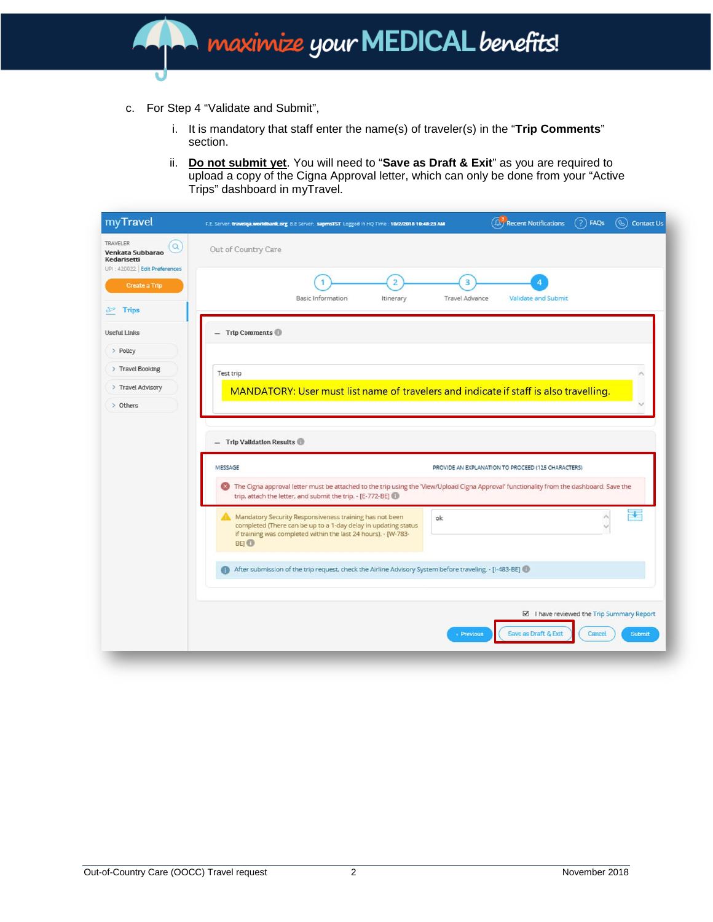# **Maximize your MEDICAL benefits!**

- c. For Step 4 "Validate and Submit",
	- i. It is mandatory that staff enter the name(s) of traveler(s) in the "**Trip Comments**" section.
	- ii. **Do not submit yet**. You will need to "**Save as Draft & Exit**" as you are required to upload a copy of the Cigna Approval letter, which can only be done from your "Active Trips" dashboard in myTravel.

| $(?)$ FAQs<br>(A) Recent Notifications<br>Contact Us<br>$\mathscr{C}$<br>F.E. Server: travelga.worldbank.org B.E Server: sapmsTST Logged In HQ Time : 10/2/2018 10:48:23 AM                                              |  |  |  |  |  |  |  |  |
|--------------------------------------------------------------------------------------------------------------------------------------------------------------------------------------------------------------------------|--|--|--|--|--|--|--|--|
| Out of Country Care                                                                                                                                                                                                      |  |  |  |  |  |  |  |  |
| 3<br><b>Basic Information</b><br><b>Travel Advance</b><br><b>Validate and Submit</b><br>Itinerary                                                                                                                        |  |  |  |  |  |  |  |  |
| <b>Trlp Comments</b><br>i.                                                                                                                                                                                               |  |  |  |  |  |  |  |  |
|                                                                                                                                                                                                                          |  |  |  |  |  |  |  |  |
| Test trip                                                                                                                                                                                                                |  |  |  |  |  |  |  |  |
| MANDATORY: User must list name of travelers and indicate if staff is also travelling.                                                                                                                                    |  |  |  |  |  |  |  |  |
|                                                                                                                                                                                                                          |  |  |  |  |  |  |  |  |
| $-$ Trip Validation Results                                                                                                                                                                                              |  |  |  |  |  |  |  |  |
| MESSAGE<br>PROVIDE AN EXPLANATION TO PROCEED (125 CHARACTERS)                                                                                                                                                            |  |  |  |  |  |  |  |  |
| The Cigna approval letter must be attached to the trip using the 'View/Upload Cigna Approval' functionality from the dashboard. Save the<br>$\infty$<br>trip, attach the letter, and submit the trip. - [E-772-BE]       |  |  |  |  |  |  |  |  |
| FV.<br>Mandatory Security Responsiveness training has not been<br>ok<br>completed (There can be up to a 1-day delay in updating status<br>if training was completed within the last 24 hours). - [W-783-<br>BEJ <b>O</b> |  |  |  |  |  |  |  |  |
| After submission of the trip request, check the Airline Advisory System before traveling. - [I-483-BE]                                                                                                                   |  |  |  |  |  |  |  |  |
|                                                                                                                                                                                                                          |  |  |  |  |  |  |  |  |
| I have reviewed the Trip Summary Report<br>Save as Draft & Ext<br>Cancel<br>Submit<br><b>Previous</b>                                                                                                                    |  |  |  |  |  |  |  |  |
|                                                                                                                                                                                                                          |  |  |  |  |  |  |  |  |